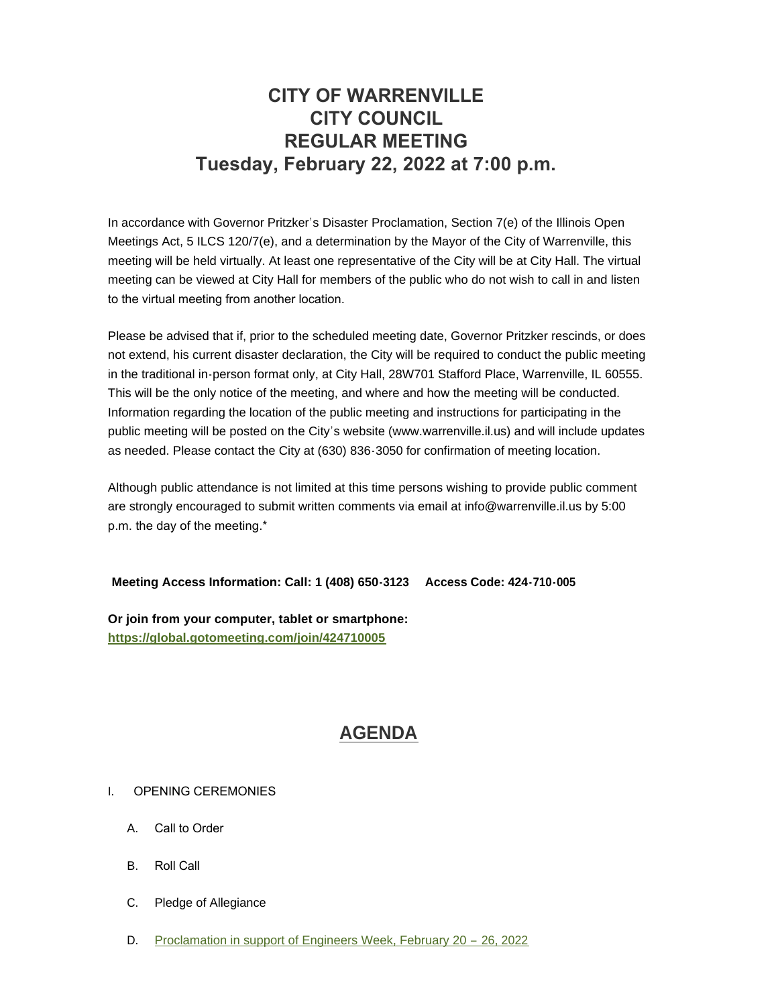## **CITY OF WARRENVILLE CITY COUNCIL REGULAR MEETING Tuesday, February 22, 2022 at 7:00 p.m.**

In accordance with Governor Pritzker's Disaster Proclamation, Section 7(e) of the Illinois Open Meetings Act, 5 ILCS 120/7(e), and a determination by the Mayor of the City of Warrenville, this meeting will be held virtually. At least one representative of the City will be at City Hall. The virtual meeting can be viewed at City Hall for members of the public who do not wish to call in and listen to the virtual meeting from another location.

Please be advised that if, prior to the scheduled meeting date, Governor Pritzker rescinds, or does not extend, his current disaster declaration, the City will be required to conduct the public meeting in the traditional in-person format only, at City Hall, 28W701 Stafford Place, Warrenville, IL 60555. This will be the only notice of the meeting, and where and how the meeting will be conducted. Information regarding the location of the public meeting and instructions for participating in the public meeting will be posted on the City's website (www.warrenville.il.us) and will include updates as needed. Please contact the City at (630) 836-3050 for confirmation of meeting location.

Although public attendance is not limited at this time persons wishing to provide public comment are strongly encouraged to submit written comments via email at info@warrenville.il.us by 5:00 p.m. the day of the meeting.\*

**Meeting Access Information: Call: 1 (408) 650-3123 Access Code: 424-710-005**

**[Or join from your computer, tablet or smartpho](https://global.gotomeeting.com/join/424710005)ne: https://global.gotomeeting.com/join/424710005**

# **[AGENDA](https://www.warrenville.il.us/DocumentCenter/View/18782/02-22-22--Agenda-Packet-PDF)**

- I. OPENING CEREMONIES
	- A. Call to Order
	- B. Roll Call
	- C. Pledge of Allegiance
	- D. [Proclamation in support of Engineers Week, February 20](https://www.warrenville.il.us/DocumentCenter/View/18760/ID-Proclamation---Engineers-Week-2022-PDF)  26, 2022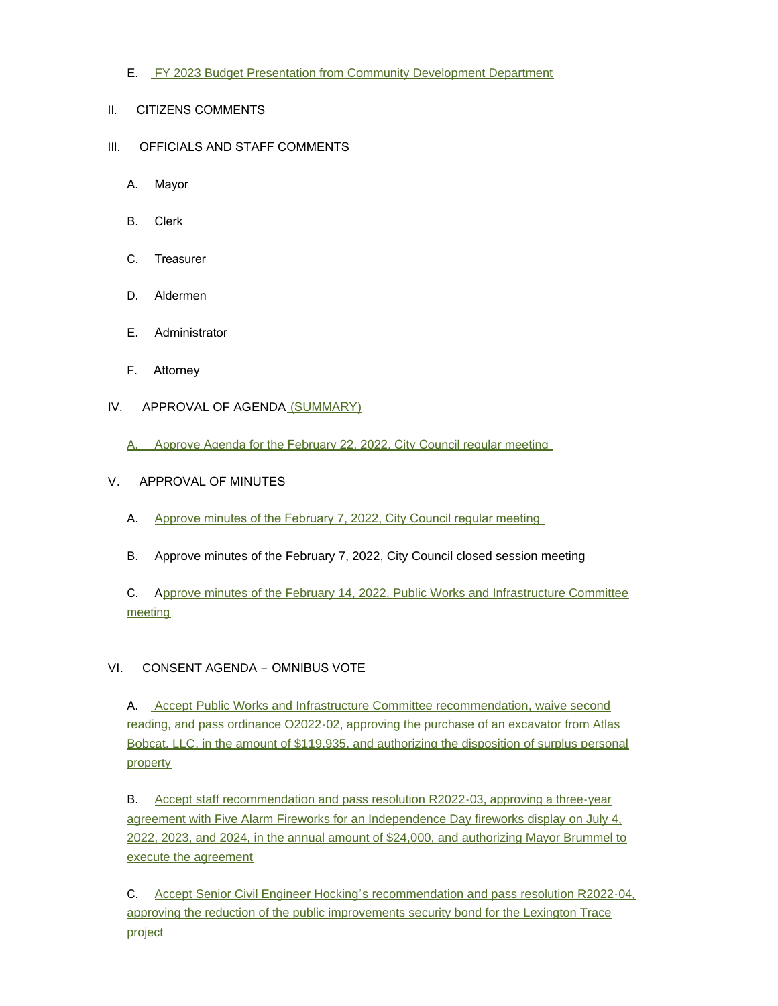- E. [FY 2023 Budget Presentation from Community Development Department](https://www.warrenville.il.us/DocumentCenter/View/18761/IE-CD-FY-2023-Work-Plan-and-Budget-Presentation-PDF)
- II. CITIZENS COMMENTS
- III. OFFICIALS AND STAFF COMMENTS
	- A. Mayor
	- B. Clerk
	- C. Treasurer
	- D. Aldermen
	- E. Administrator
	- F. Attorney
- IV. APPROVAL OF AGENDA [\(SUMMARY\)](https://www.warrenville.il.us/DocumentCenter/View/18759/02-22-22-Summary-PDF)
	- [A.](https://www.warrenville.il.us/DocumentCenter/View/18783/02-22-22--Agenda-with-Rev-OMA-Language-PDF) [Approve Agenda for the February 22, 2022, City Council regular meeting](https://www.warrenville.il.us/DocumentCenter/View/18783/02-22-22--Agenda-with-Rev-OMA-Language-PDF)

#### V. APPROVAL OF MINUTES

- A. [Approve minutes of the February 7, 2022, City Council regular meeting](https://www.warrenville.il.us/DocumentCenter/View/18762/VA-02-07-22_Council-Regular-Meeting-Minutes-PDF)
- B. Approve minutes of the February 7, 2022, City Council closed session meeting

C. A[pprove minutes of the February 14, 2022, Public Works and Infrastructure Committee](https://www.warrenville.il.us/DocumentCenter/View/18763/VC-02-14-22-PWIC-Minutes-PDF)  meeting

### VI. CONSENT AGENDA – OMNIBUS VOTE

[A](https://www.warrenville.il.us/DocumentCenter/View/18764/VIA-O2022-02-Approving-Purchase-of-Excavator-through-Sourcewell-and-Authorizing-Disposition-of-Surplus-Property-PDF). **Accept Public Works and Infrastructure Committee recommendation, waive second** reading, and pass ordinance O2022-02, approving the purchase of an excavator from Atlas Bob[cat, LLC, in the amount of \\$119,935, and authorizing the disposition of surplus personal](https://www.warrenville.il.us/DocumentCenter/View/18764/VIA-O2022-02-Approving-Purchase-of-Excavator-through-Sourcewell-and-Authorizing-Disposition-of-Surplus-Property-PDF)  property

B. Accept staff recommendation and pass resolution R2022-03, approving a three-year agreement with Five Alarm Fireworks for an Independence Day fireworks display on July 4, 2022[, 2023, and 2024, in the annual amount of \\$24,000, and authorizing Mayor Brummel to](https://www.warrenville.il.us/DocumentCenter/View/18765/VIB-R2022-03-Approving-Agreement-with-Five-Alarm-Fireworks-for-July-4-2022-2024-Fireworks-Displays-PDF)  execute the agreement

C. Accept Senior Civil Engineer Hocking's recommendation and pass resolution R2022-04, appr[oving the reduction of the public improvements security bond for the Lexington Trace](https://www.warrenville.il.us/DocumentCenter/View/18766/VIC-R2022-04-Approving-the-Reduction-of-Performance-Security---Lexington-Trace-PDF)  project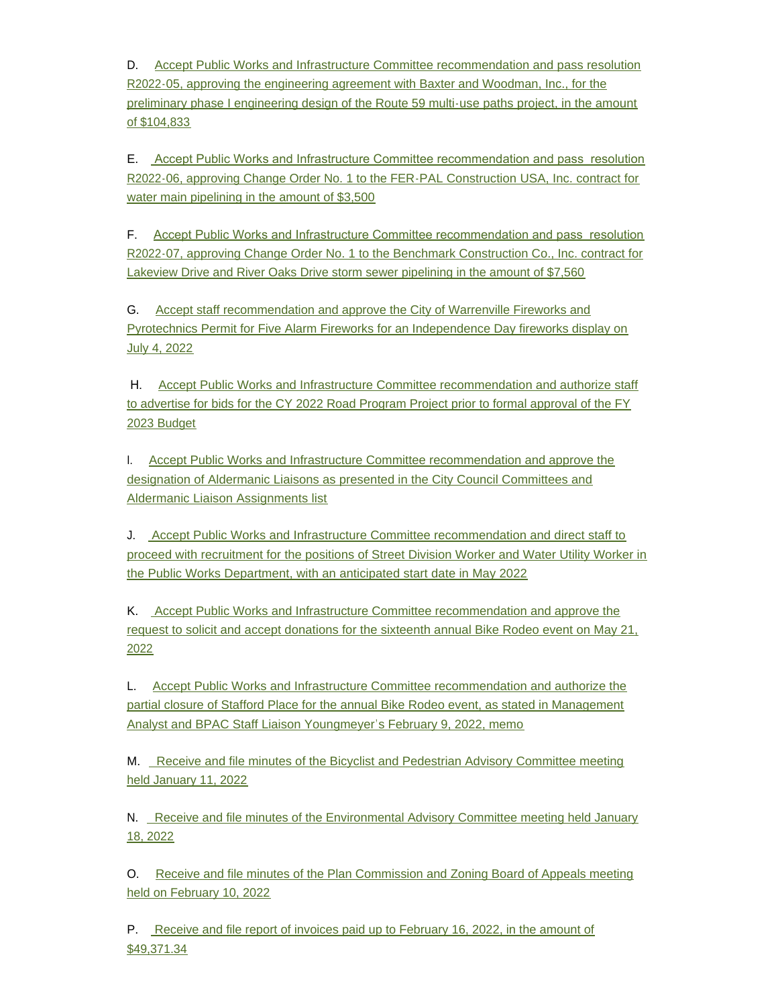D. [Accept Public Works and Infrastructure Committee recommendation and pass resolution](https://www.warrenville.il.us/DocumentCenter/View/18767/VID-R2022-05-Approving-Agreement-with-Baxter-Woodman-for-Phase-I-Engineering-Route-59-Paths-PDF)  R2022-05, approving the engineering agreement with Baxter and Woodman, Inc., for the preliminary phase I engineering design of the Route 59 multi-use paths project, in the amount of \$104,833

E. [Accept Public Works and Infrastructure Committee recommendation and pass resolution](https://www.warrenville.il.us/DocumentCenter/View/18768/VIE-R2022-06-Approving-Change-Order-No-1-to-Contract-with-FER-PAL-for-Watermain-Lining-PDF)  R2022-06, approving Change Order No. 1 to the FER-PAL Construction USA, Inc. contract for water main pipelining in the amount of \$3,500

F. [Accept Public Works and Infrastructure Committee recommendation and pass resolution](https://www.warrenville.il.us/DocumentCenter/View/18769/VIF-R2022-07-Approving-Change-Order-No-1-to-Contract-with-Benchmark-Construction-Co-Inc-for-Sewer-Pipelining-PDF)  R2022-07, approving Change Order No. 1 to the Benchmark Construction Co., Inc. contract for Lakeview Drive and River Oaks Drive storm sewer pipelining in the amount of \$7,560

G. Accept staff recommendation and approve the City of Warrenville Fireworks and Pyro[technics Permit for Five Alarm Fireworks for an Independence Day fireworks display on](https://www.warrenville.il.us/DocumentCenter/View/18770/VIG-Fireworks-Permit-Application-2022---5-Alarm-Fireworks-Redacted-PDF)  July 4, 2022

 H. [Accept Public Works and Infrastructure Committee recommendation and authorize staff](https://www.warrenville.il.us/DocumentCenter/View/18771/VIH-CY2022-Road-Program-Req-Auth-Bid-Memo-2022-02-09-PDF)  to advertise for bids for the CY 2022 Road Program Project prior to formal approval of the FY 2023 Budget

I. Accept Public Works and Infrastructure Committee recommendation and approve the designation of Aldermanic Liaisons as presented in the City Council Committees and Aldermanic Liaison Assignments list

J. [A](https://www.warrenville.il.us/DocumentCenter/View/18773/VIJ-PW-Worker-Recruitment-Memo-2022-02-09-PDF)ccept Public Works and Infrastructure Committee recommendation and direct staff to proc[eed with recruitment for the positions of Street Division Worker and Water Utility Worker in](https://www.warrenville.il.us/DocumentCenter/View/18773/VIJ-PW-Worker-Recruitment-Memo-2022-02-09-PDF)  the Public Works Department, with an anticipated start date in May 2022

K. [A](https://www.warrenville.il.us/DocumentCenter/View/18774/VIK-Solicitation-for-Bike-Rodeo-Event-PDF)ccept Public Works and Infrastructure Committee recommendation and approve the requ[est to solicit and accept donations for the sixteenth annual Bike Rodeo event on May 21,](https://www.warrenville.il.us/DocumentCenter/View/18774/VIK-Solicitation-for-Bike-Rodeo-Event-PDF)  2022

L. [Accept Public Works and Infrastructure Committee recommendation and authorize the](https://www.warrenville.il.us/DocumentCenter/View/18775/VIL-Bike-Rodeo-Partial-Street-Closures-Request-PDF)  partial closure of Stafford Place for the annual Bike Rodeo event, as stated in Management Analyst and BPAC Staff Liaison Youngmeyer's February 9, 2022, memo

M. Receive and file minutes of the Bicyclist and Pedestrian Advisory Committee meeting held January 11, 2022

N. Receive and file minutes of the Environmental Advisory Committee meeting held January 18, 2022

O. Receive and file minutes of the Plan Commission and Zoning Board of Appeals meeting held on February 10, 2022

P. Receive and file report of invoices paid up to February 16, 2022, in the amount of \$49,371.34